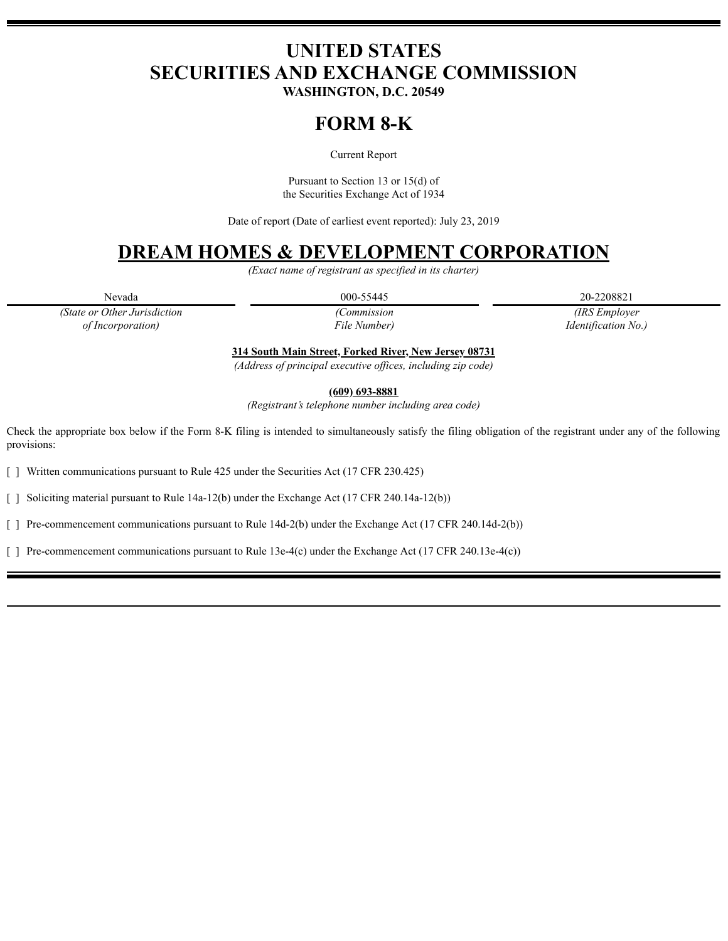# **UNITED STATES SECURITIES AND EXCHANGE COMMISSION**

**WASHINGTON, D.C. 20549**

## **FORM 8-K**

Current Report

Pursuant to Section 13 or 15(d) of the Securities Exchange Act of 1934

Date of report (Date of earliest event reported): July 23, 2019

## **DREAM HOMES & DEVELOPMENT CORPORATION**

*(Exact name of registrant as specified in its charter)*

Nevada 20-2208821 20-2208821

*(State or Other Jurisdiction of Incorporation)*

*(Commission File Number)*

*(IRS Employer Identification No.)*

**314 South Main Street, Forked River, New Jersey 08731**

*(Address of principal executive of ices, including zip code)*

**(609) 693-8881**

*(Registrant's telephone number including area code)*

Check the appropriate box below if the Form 8-K filing is intended to simultaneously satisfy the filing obligation of the registrant under any of the following provisions:

[ ] Written communications pursuant to Rule 425 under the Securities Act (17 CFR 230.425)

[ ] Soliciting material pursuant to Rule 14a-12(b) under the Exchange Act (17 CFR 240.14a-12(b))

[ ] Pre-commencement communications pursuant to Rule 14d-2(b) under the Exchange Act (17 CFR 240.14d-2(b))

[ ] Pre-commencement communications pursuant to Rule 13e-4(c) under the Exchange Act (17 CFR 240.13e-4(c))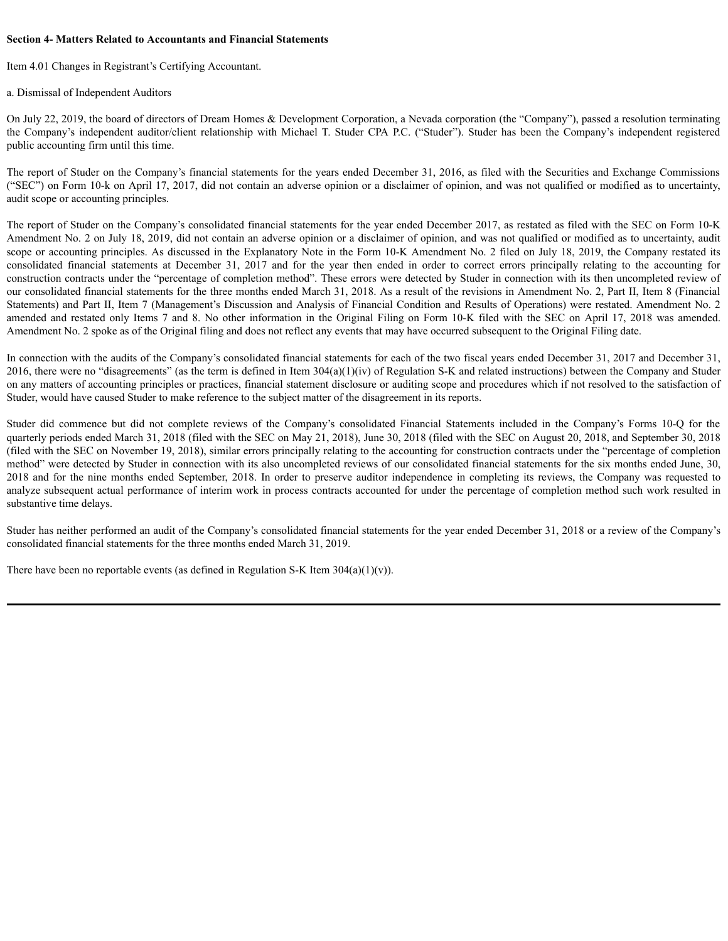#### **Section 4- Matters Related to Accountants and Financial Statements**

Item 4.01 Changes in Registrant's Certifying Accountant.

a. Dismissal of Independent Auditors

On July 22, 2019, the board of directors of Dream Homes & Development Corporation, a Nevada corporation (the "Company"), passed a resolution terminating the Company's independent auditor/client relationship with Michael T. Studer CPA P.C. ("Studer"). Studer has been the Company's independent registered public accounting firm until this time.

The report of Studer on the Company's financial statements for the years ended December 31, 2016, as filed with the Securities and Exchange Commissions ("SEC") on Form 10-k on April 17, 2017, did not contain an adverse opinion or a disclaimer of opinion, and was not qualified or modified as to uncertainty, audit scope or accounting principles.

The report of Studer on the Company's consolidated financial statements for the year ended December 2017, as restated as filed with the SEC on Form 10-K Amendment No. 2 on July 18, 2019, did not contain an adverse opinion or a disclaimer of opinion, and was not qualified or modified as to uncertainty, audit scope or accounting principles. As discussed in the Explanatory Note in the Form 10-K Amendment No. 2 filed on July 18, 2019, the Company restated its consolidated financial statements at December 31, 2017 and for the year then ended in order to correct errors principally relating to the accounting for construction contracts under the "percentage of completion method". These errors were detected by Studer in connection with its then uncompleted review of our consolidated financial statements for the three months ended March 31, 2018. As a result of the revisions in Amendment No. 2, Part II, Item 8 (Financial Statements) and Part II, Item 7 (Management's Discussion and Analysis of Financial Condition and Results of Operations) were restated. Amendment No. 2 amended and restated only Items 7 and 8. No other information in the Original Filing on Form 10-K filed with the SEC on April 17, 2018 was amended. Amendment No. 2 spoke as of the Original filing and does not reflect any events that may have occurred subsequent to the Original Filing date.

In connection with the audits of the Company's consolidated financial statements for each of the two fiscal years ended December 31, 2017 and December 31, 2016, there were no "disagreements" (as the term is defined in Item  $304(a)(1)(iv)$  of Regulation S-K and related instructions) between the Company and Studer on any matters of accounting principles or practices, financial statement disclosure or auditing scope and procedures which if not resolved to the satisfaction of Studer, would have caused Studer to make reference to the subject matter of the disagreement in its reports.

Studer did commence but did not complete reviews of the Company's consolidated Financial Statements included in the Company's Forms 10-Q for the quarterly periods ended March 31, 2018 (filed with the SEC on May 21, 2018), June 30, 2018 (filed with the SEC on August 20, 2018, and September 30, 2018 (filed with the SEC on November 19, 2018), similar errors principally relating to the accounting for construction contracts under the "percentage of completion method" were detected by Studer in connection with its also uncompleted reviews of our consolidated financial statements for the six months ended June, 30, 2018 and for the nine months ended September, 2018. In order to preserve auditor independence in completing its reviews, the Company was requested to analyze subsequent actual performance of interim work in process contracts accounted for under the percentage of completion method such work resulted in substantive time delays.

Studer has neither performed an audit of the Company's consolidated financial statements for the year ended December 31, 2018 or a review of the Company's consolidated financial statements for the three months ended March 31, 2019.

There have been no reportable events (as defined in Regulation S-K Item  $304(a)(1)(v)$ ).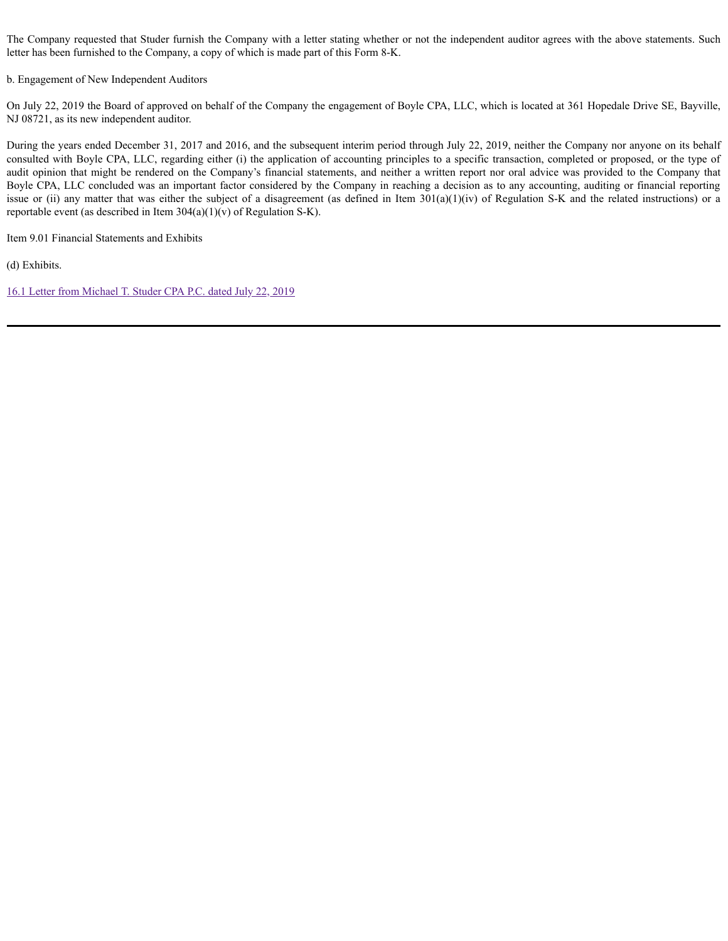The Company requested that Studer furnish the Company with a letter stating whether or not the independent auditor agrees with the above statements. Such letter has been furnished to the Company, a copy of which is made part of this Form 8-K.

b. Engagement of New Independent Auditors

On July 22, 2019 the Board of approved on behalf of the Company the engagement of Boyle CPA, LLC, which is located at 361 Hopedale Drive SE, Bayville, NJ 08721, as its new independent auditor.

During the years ended December 31, 2017 and 2016, and the subsequent interim period through July 22, 2019, neither the Company nor anyone on its behalf consulted with Boyle CPA, LLC, regarding either (i) the application of accounting principles to a specific transaction, completed or proposed, or the type of audit opinion that might be rendered on the Company's financial statements, and neither a written report nor oral advice was provided to the Company that Boyle CPA, LLC concluded was an important factor considered by the Company in reaching a decision as to any accounting, auditing or financial reporting issue or (ii) any matter that was either the subject of a disagreement (as defined in Item  $301(a)(1)(iv)$  of Regulation S-K and the related instructions) or a reportable event (as described in Item  $304(a)(1)(v)$  of Regulation S-K).

Item 9.01 Financial Statements and Exhibits

(d) Exhibits.

16.1 Letter from [Michael](https://www.sec.gov/Archives/edgar/data/1518336/000149315219010972/ex16-1.htm) T. Studer CPA P.C. dated July 22, 2019